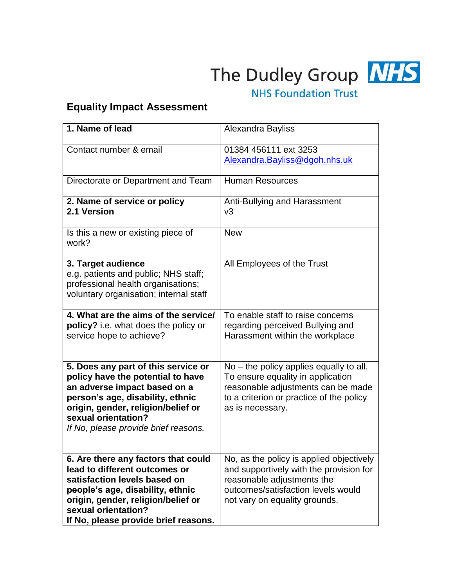

The Dudley Group NHS

## **NHS Foundation Trust**

## **Equality Impact Assessment**

| 1. Name of lead                                                                                                                                                                                                                                   | Alexandra Bayliss                                                                                                                                                                        |
|---------------------------------------------------------------------------------------------------------------------------------------------------------------------------------------------------------------------------------------------------|------------------------------------------------------------------------------------------------------------------------------------------------------------------------------------------|
| Contact number & email                                                                                                                                                                                                                            | 01384 456111 ext 3253<br>Alexandra.Bayliss@dgoh.nhs.uk                                                                                                                                   |
| Directorate or Department and Team                                                                                                                                                                                                                | <b>Human Resources</b>                                                                                                                                                                   |
| 2. Name of service or policy<br>2.1 Version                                                                                                                                                                                                       | Anti-Bullying and Harassment<br>v3                                                                                                                                                       |
| Is this a new or existing piece of<br>work?                                                                                                                                                                                                       | <b>New</b>                                                                                                                                                                               |
| 3. Target audience<br>e.g. patients and public; NHS staff;<br>professional health organisations;<br>voluntary organisation; internal staff                                                                                                        | All Employees of the Trust                                                                                                                                                               |
| 4. What are the aims of the service/<br>policy? i.e. what does the policy or<br>service hope to achieve?                                                                                                                                          | To enable staff to raise concerns<br>regarding perceived Bullying and<br>Harassment within the workplace                                                                                 |
| 5. Does any part of this service or<br>policy have the potential to have<br>an adverse impact based on a<br>person's age, disability, ethnic<br>origin, gender, religion/belief or<br>sexual orientation?<br>If No, please provide brief reasons. | $No$ – the policy applies equally to all.<br>To ensure equality in application<br>reasonable adjustments can be made<br>to a criterion or practice of the policy<br>as is necessary.     |
| 6. Are there any factors that could<br>lead to different outcomes or<br>satisfaction levels based on<br>people's age, disability, ethnic<br>origin, gender, religion/belief or<br>sexual orientation?<br>If No, please provide brief reasons.     | No, as the policy is applied objectively<br>and supportively with the provision for<br>reasonable adjustments the<br>outcomes/satisfaction levels would<br>not vary on equality grounds. |